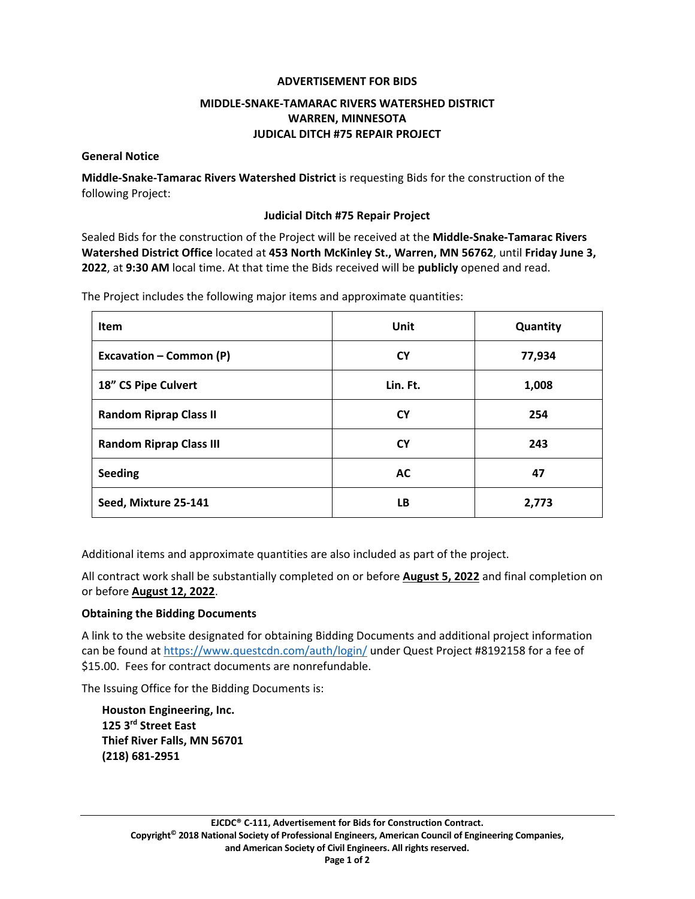## **ADVERTISEMENT FOR BIDS**

# **MIDDLE‐SNAKE‐TAMARAC RIVERS WATERSHED DISTRICT WARREN, MINNESOTA JUDICAL DITCH #75 REPAIR PROJECT**

#### **General Notice**

**Middle‐Snake‐Tamarac Rivers Watershed District** is requesting Bids for the construction of the following Project:

#### **Judicial Ditch #75 Repair Project**

Sealed Bids for the construction of the Project will be received at the **Middle‐Snake‐Tamarac Rivers Watershed District Office** located at **453 North McKinley St., Warren, MN 56762**, until **Friday June 3, 2022**, at **9:30 AM** local time. At that time the Bids received will be **publicly** opened and read.

The Project includes the following major items and approximate quantities:

| <b>Item</b>                    | Unit      | Quantity |
|--------------------------------|-----------|----------|
| <b>Excavation - Common (P)</b> | <b>CY</b> | 77,934   |
| 18" CS Pipe Culvert            | Lin. Ft.  | 1,008    |
| <b>Random Riprap Class II</b>  | <b>CY</b> | 254      |
| <b>Random Riprap Class III</b> | <b>CY</b> | 243      |
| <b>Seeding</b>                 | <b>AC</b> | 47       |
| Seed, Mixture 25-141           | LB.       | 2,773    |

Additional items and approximate quantities are also included as part of the project.

All contract work shall be substantially completed on or before **August 5, 2022** and final completion on or before **August 12, 2022**.

#### **Obtaining the Bidding Documents**

A link to the website designated for obtaining Bidding Documents and additional project information can be found at https://www.questcdn.com/auth/login/ under Quest Project #8192158 for a fee of \$15.00. Fees for contract documents are nonrefundable.

The Issuing Office for the Bidding Documents is:

**Houston Engineering, Inc. 125 3rd Street East Thief River Falls, MN 56701 (218) 681‐2951**